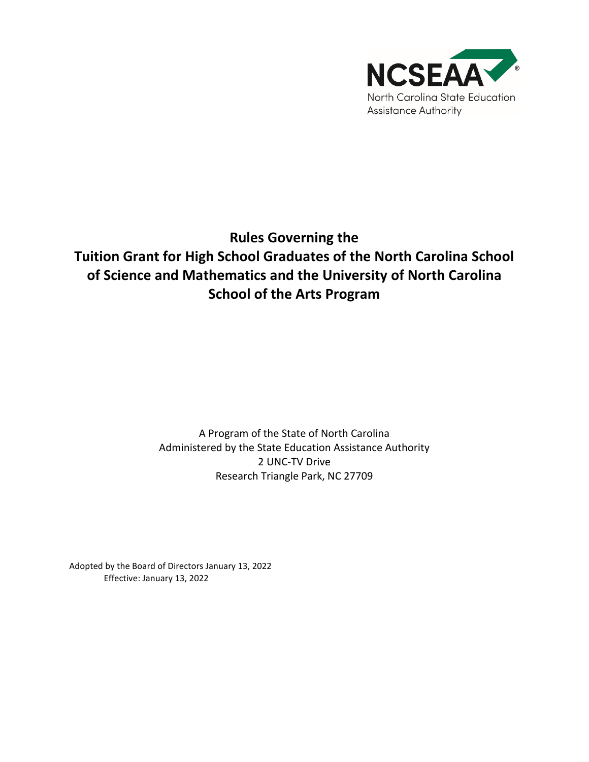

# **Rules Governing the Tuition Grant for High School Graduates of the North Carolina School of Science and Mathematics and the University of North Carolina School of the Arts Program**

A Program of the State of North Carolina Administered by the State Education Assistance Authority 2 UNC-TV Drive Research Triangle Park, NC 27709

Adopted by the Board of Directors January 13, 2022 Effective: January 13, 2022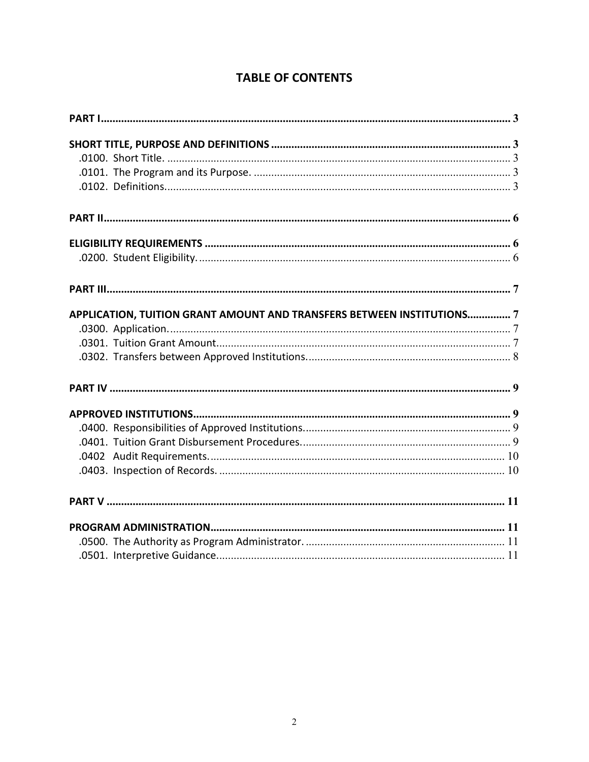## **TABLE OF CONTENTS**

| APPLICATION, TUITION GRANT AMOUNT AND TRANSFERS BETWEEN INSTITUTIONS7 |  |
|-----------------------------------------------------------------------|--|
|                                                                       |  |
|                                                                       |  |
|                                                                       |  |
|                                                                       |  |
|                                                                       |  |
|                                                                       |  |
|                                                                       |  |
|                                                                       |  |
|                                                                       |  |
|                                                                       |  |
|                                                                       |  |
|                                                                       |  |
|                                                                       |  |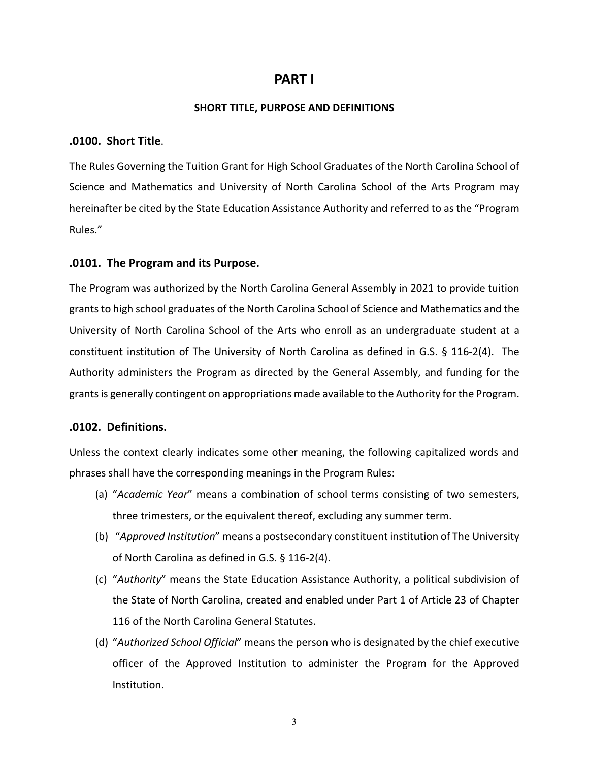## **PART I**

#### **SHORT TITLE, PURPOSE AND DEFINITIONS**

#### **.0100. Short Title**.

The Rules Governing the Tuition Grant for High School Graduates of the North Carolina School of Science and Mathematics and University of North Carolina School of the Arts Program may hereinafter be cited by the State Education Assistance Authority and referred to as the "Program Rules."

#### **.0101. The Program and its Purpose.**

The Program was authorized by the North Carolina General Assembly in 2021 to provide tuition grants to high school graduates of the North Carolina School of Science and Mathematics and the University of North Carolina School of the Arts who enroll as an undergraduate student at a constituent institution of The University of North Carolina as defined in G.S. § 116-2(4). The Authority administers the Program as directed by the General Assembly, and funding for the grants is generally contingent on appropriations made available to the Authority for the Program.

#### **.0102. Definitions.**

Unless the context clearly indicates some other meaning, the following capitalized words and phrases shall have the corresponding meanings in the Program Rules:

- (a) "*Academic Year*" means a combination of school terms consisting of two semesters, three trimesters, or the equivalent thereof, excluding any summer term.
- (b) "*Approved Institution*" means a postsecondary constituent institution of The University of North Carolina as defined in G.S. § 116-2(4).
- (c) "*Authority*" means the State Education Assistance Authority, a political subdivision of the State of North Carolina, created and enabled under Part 1 of Article 23 of Chapter 116 of the North Carolina General Statutes.
- (d) "*Authorized School Official*" means the person who is designated by the chief executive officer of the Approved Institution to administer the Program for the Approved Institution.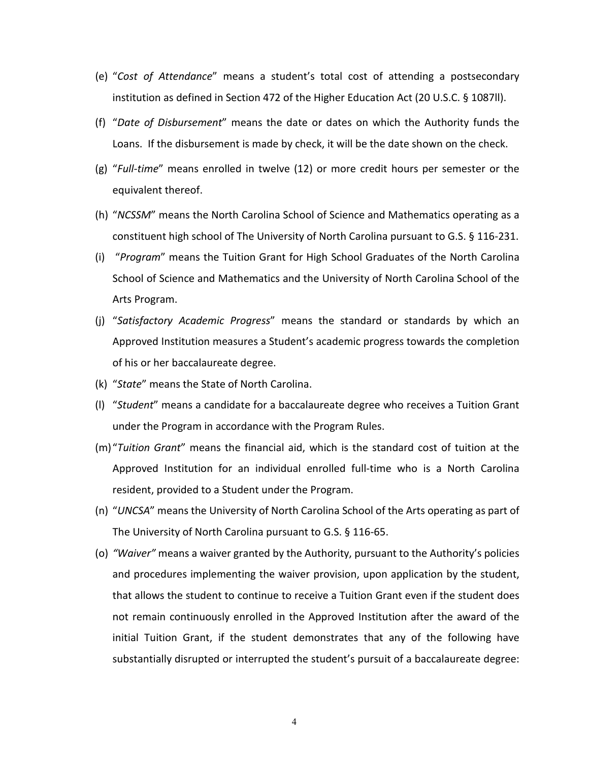- (e) "*Cost of Attendance*" means a student's total cost of attending a postsecondary institution as defined in Section 472 of the Higher Education Act (20 U.S.C. § 1087ll).
- (f) "*Date of Disbursement*" means the date or dates on which the Authority funds the Loans. If the disbursement is made by check, it will be the date shown on the check.
- (g) "*Full-time*" means enrolled in twelve (12) or more credit hours per semester or the equivalent thereof.
- (h) "*NCSSM*" means the North Carolina School of Science and Mathematics operating as a constituent high school of The University of North Carolina pursuant to G.S. § 116-231.
- (i) "*Program*" means the Tuition Grant for High School Graduates of the North Carolina School of Science and Mathematics and the University of North Carolina School of the Arts Program.
- (j) "*Satisfactory Academic Progress*" means the standard or standards by which an Approved Institution measures a Student's academic progress towards the completion of his or her baccalaureate degree.
- (k) "*State*" means the State of North Carolina.
- (l) "*Student*" means a candidate for a baccalaureate degree who receives a Tuition Grant under the Program in accordance with the Program Rules.
- (m)"*Tuition Grant*" means the financial aid, which is the standard cost of tuition at the Approved Institution for an individual enrolled full-time who is a North Carolina resident, provided to a Student under the Program.
- (n) "*UNCSA*" means the University of North Carolina School of the Arts operating as part of The University of North Carolina pursuant to G.S. § 116-65.
- (o) *"Waiver"* means a waiver granted by the Authority, pursuant to the Authority's policies and procedures implementing the waiver provision, upon application by the student, that allows the student to continue to receive a Tuition Grant even if the student does not remain continuously enrolled in the Approved Institution after the award of the initial Tuition Grant, if the student demonstrates that any of the following have substantially disrupted or interrupted the student's pursuit of a baccalaureate degree: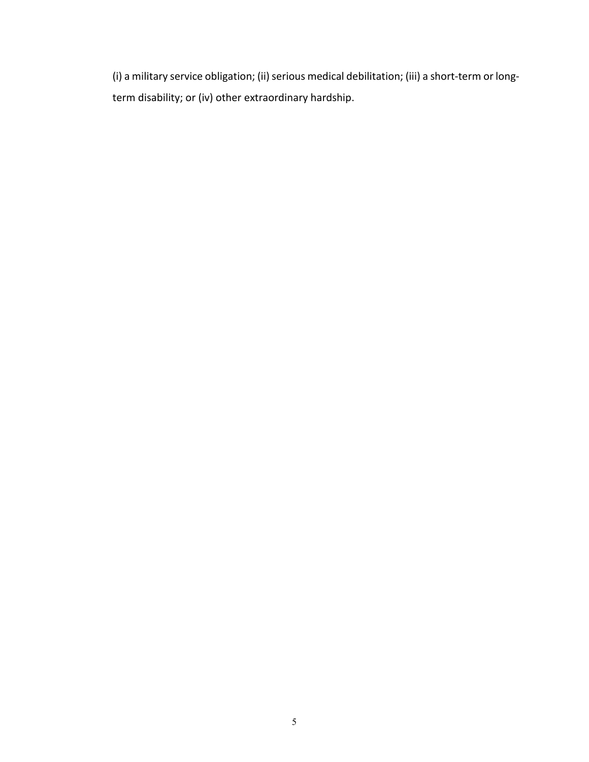(i) a military service obligation; (ii) serious medical debilitation; (iii) a short-term or longterm disability; or (iv) other extraordinary hardship.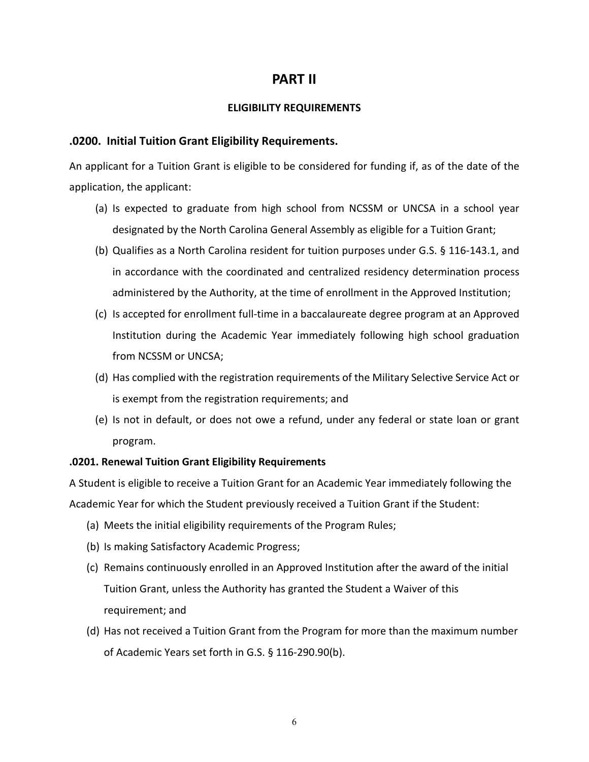## **PART II**

#### **ELIGIBILITY REQUIREMENTS**

#### **.0200. Initial Tuition Grant Eligibility Requirements.**

An applicant for a Tuition Grant is eligible to be considered for funding if, as of the date of the application, the applicant:

- (a) Is expected to graduate from high school from NCSSM or UNCSA in a school year designated by the North Carolina General Assembly as eligible for a Tuition Grant;
- (b) Qualifies as a North Carolina resident for tuition purposes under G.S. § 116-143.1, and in accordance with the coordinated and centralized residency determination process administered by the Authority, at the time of enrollment in the Approved Institution;
- (c) Is accepted for enrollment full-time in a baccalaureate degree program at an Approved Institution during the Academic Year immediately following high school graduation from NCSSM or UNCSA;
- (d) Has complied with the registration requirements of the Military Selective Service Act or is exempt from the registration requirements; and
- (e) Is not in default, or does not owe a refund, under any federal or state loan or grant program.

#### **.0201. Renewal Tuition Grant Eligibility Requirements**

A Student is eligible to receive a Tuition Grant for an Academic Year immediately following the Academic Year for which the Student previously received a Tuition Grant if the Student:

- (a) Meets the initial eligibility requirements of the Program Rules;
- (b) Is making Satisfactory Academic Progress;
- (c) Remains continuously enrolled in an Approved Institution after the award of the initial Tuition Grant, unless the Authority has granted the Student a Waiver of this requirement; and
- (d) Has not received a Tuition Grant from the Program for more than the maximum number of Academic Years set forth in G.S. § 116-290.90(b).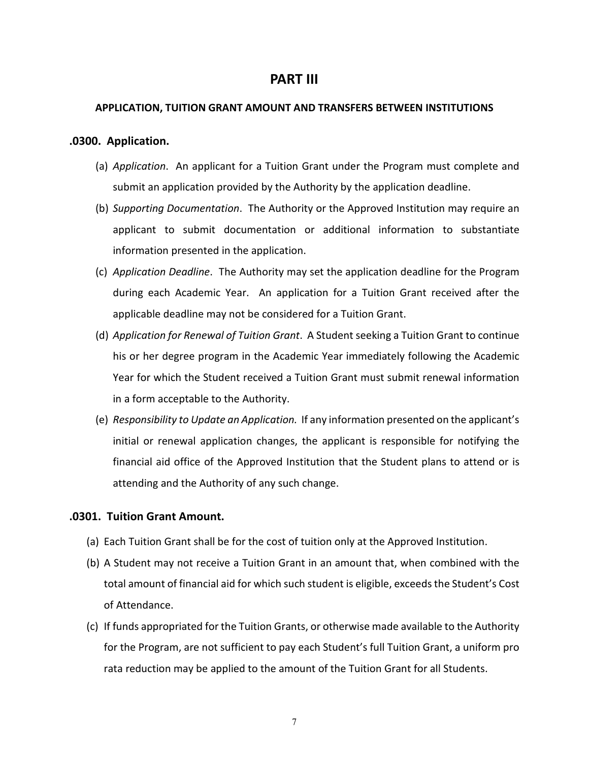## **PART III**

#### **APPLICATION, TUITION GRANT AMOUNT AND TRANSFERS BETWEEN INSTITUTIONS**

#### **.0300. Application.**

- (a) *Application*. An applicant for a Tuition Grant under the Program must complete and submit an application provided by the Authority by the application deadline.
- (b) *Supporting Documentation*. The Authority or the Approved Institution may require an applicant to submit documentation or additional information to substantiate information presented in the application.
- (c) *Application Deadline*. The Authority may set the application deadline for the Program during each Academic Year. An application for a Tuition Grant received after the applicable deadline may not be considered for a Tuition Grant.
- (d) *Application for Renewal of Tuition Grant*. A Student seeking a Tuition Grant to continue his or her degree program in the Academic Year immediately following the Academic Year for which the Student received a Tuition Grant must submit renewal information in a form acceptable to the Authority.
- (e) *Responsibility to Update an Application.* If any information presented on the applicant's initial or renewal application changes, the applicant is responsible for notifying the financial aid office of the Approved Institution that the Student plans to attend or is attending and the Authority of any such change.

#### **.0301. Tuition Grant Amount.**

- (a) Each Tuition Grant shall be for the cost of tuition only at the Approved Institution.
- (b) A Student may not receive a Tuition Grant in an amount that, when combined with the total amount of financial aid for which such student is eligible, exceeds the Student's Cost of Attendance.
- (c) If funds appropriated for the Tuition Grants, or otherwise made available to the Authority for the Program, are not sufficient to pay each Student's full Tuition Grant, a uniform pro rata reduction may be applied to the amount of the Tuition Grant for all Students.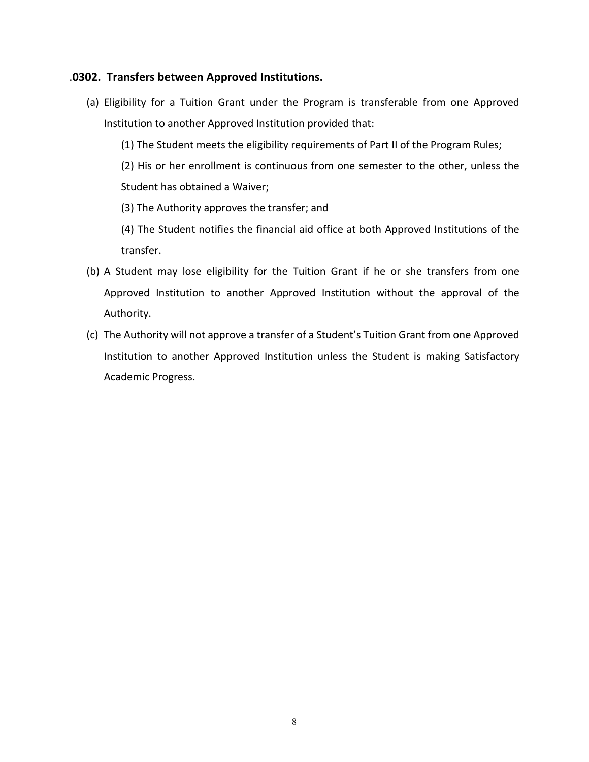## .**0302. Transfers between Approved Institutions.**

- (a) Eligibility for a Tuition Grant under the Program is transferable from one Approved Institution to another Approved Institution provided that:
	- (1) The Student meets the eligibility requirements of Part II of the Program Rules;

(2) His or her enrollment is continuous from one semester to the other, unless the Student has obtained a Waiver;

(3) The Authority approves the transfer; and

(4) The Student notifies the financial aid office at both Approved Institutions of the transfer.

- (b) A Student may lose eligibility for the Tuition Grant if he or she transfers from one Approved Institution to another Approved Institution without the approval of the Authority.
- (c) The Authority will not approve a transfer of a Student's Tuition Grant from one Approved Institution to another Approved Institution unless the Student is making Satisfactory Academic Progress.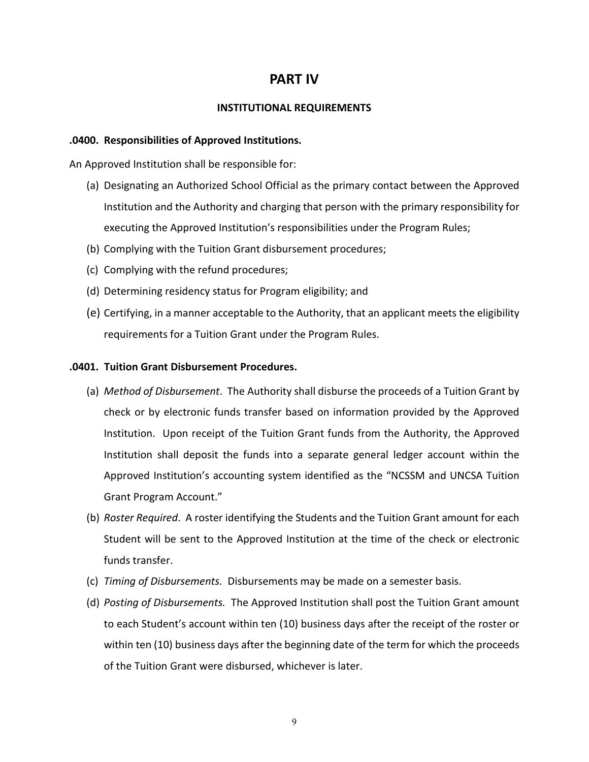## **PART IV**

#### **INSTITUTIONAL REQUIREMENTS**

#### **.0400. Responsibilities of Approved Institutions.**

An Approved Institution shall be responsible for:

- (a) Designating an Authorized School Official as the primary contact between the Approved Institution and the Authority and charging that person with the primary responsibility for executing the Approved Institution's responsibilities under the Program Rules;
- (b) Complying with the Tuition Grant disbursement procedures;
- (c) Complying with the refund procedures;
- (d) Determining residency status for Program eligibility; and
- (e) Certifying, in a manner acceptable to the Authority, that an applicant meets the eligibility requirements for a Tuition Grant under the Program Rules.

#### **.0401. Tuition Grant Disbursement Procedures.**

- (a) *Method of Disbursement*. The Authority shall disburse the proceeds of a Tuition Grant by check or by electronic funds transfer based on information provided by the Approved Institution. Upon receipt of the Tuition Grant funds from the Authority, the Approved Institution shall deposit the funds into a separate general ledger account within the Approved Institution's accounting system identified as the "NCSSM and UNCSA Tuition Grant Program Account."
- (b) *Roster Required*. A roster identifying the Students and the Tuition Grant amount for each Student will be sent to the Approved Institution at the time of the check or electronic funds transfer.
- (c) *Timing of Disbursements.* Disbursements may be made on a semester basis.
- (d) *Posting of Disbursements.* The Approved Institution shall post the Tuition Grant amount to each Student's account within ten (10) business days after the receipt of the roster or within ten (10) business days after the beginning date of the term for which the proceeds of the Tuition Grant were disbursed, whichever is later.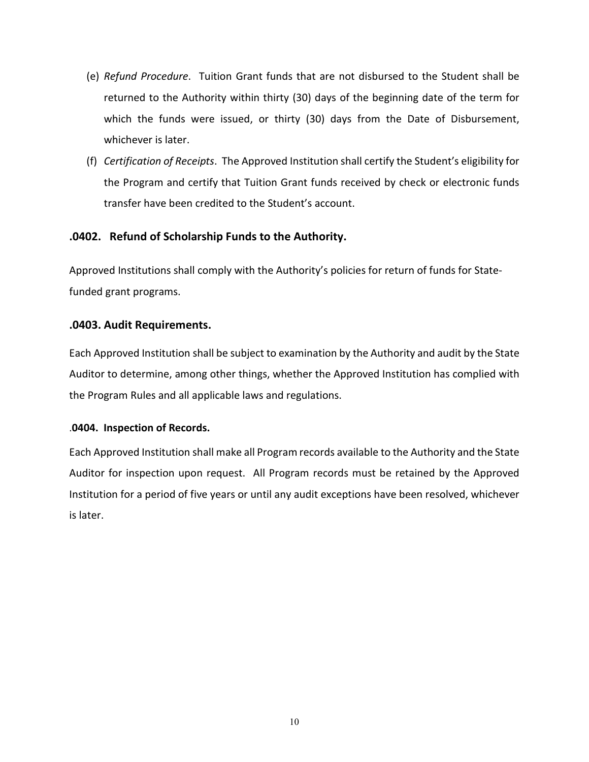- (e) *Refund Procedure*. Tuition Grant funds that are not disbursed to the Student shall be returned to the Authority within thirty (30) days of the beginning date of the term for which the funds were issued, or thirty (30) days from the Date of Disbursement, whichever is later.
- (f) *Certification of Receipts*. The Approved Institution shall certify the Student's eligibility for the Program and certify that Tuition Grant funds received by check or electronic funds transfer have been credited to the Student's account.

## **.0402. Refund of Scholarship Funds to the Authority.**

Approved Institutions shall comply with the Authority's policies for return of funds for Statefunded grant programs.

#### **.0403. Audit Requirements.**

Each Approved Institution shall be subject to examination by the Authority and audit by the State Auditor to determine, among other things, whether the Approved Institution has complied with the Program Rules and all applicable laws and regulations.

#### .**0404. Inspection of Records.**

Each Approved Institution shall make all Program records available to the Authority and the State Auditor for inspection upon request. All Program records must be retained by the Approved Institution for a period of five years or until any audit exceptions have been resolved, whichever is later.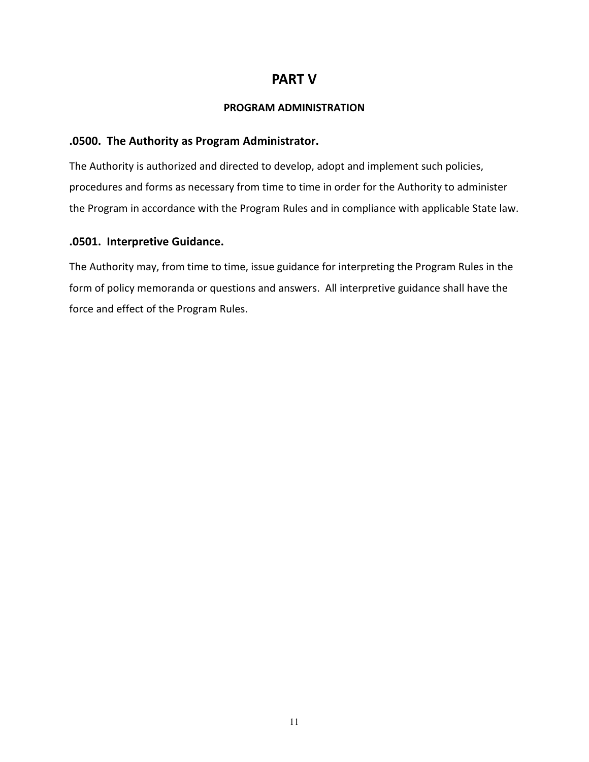## **PART V**

#### **PROGRAM ADMINISTRATION**

## **.0500. The Authority as Program Administrator.**

The Authority is authorized and directed to develop, adopt and implement such policies, procedures and forms as necessary from time to time in order for the Authority to administer the Program in accordance with the Program Rules and in compliance with applicable State law.

## **.0501. Interpretive Guidance.**

The Authority may, from time to time, issue guidance for interpreting the Program Rules in the form of policy memoranda or questions and answers. All interpretive guidance shall have the force and effect of the Program Rules.